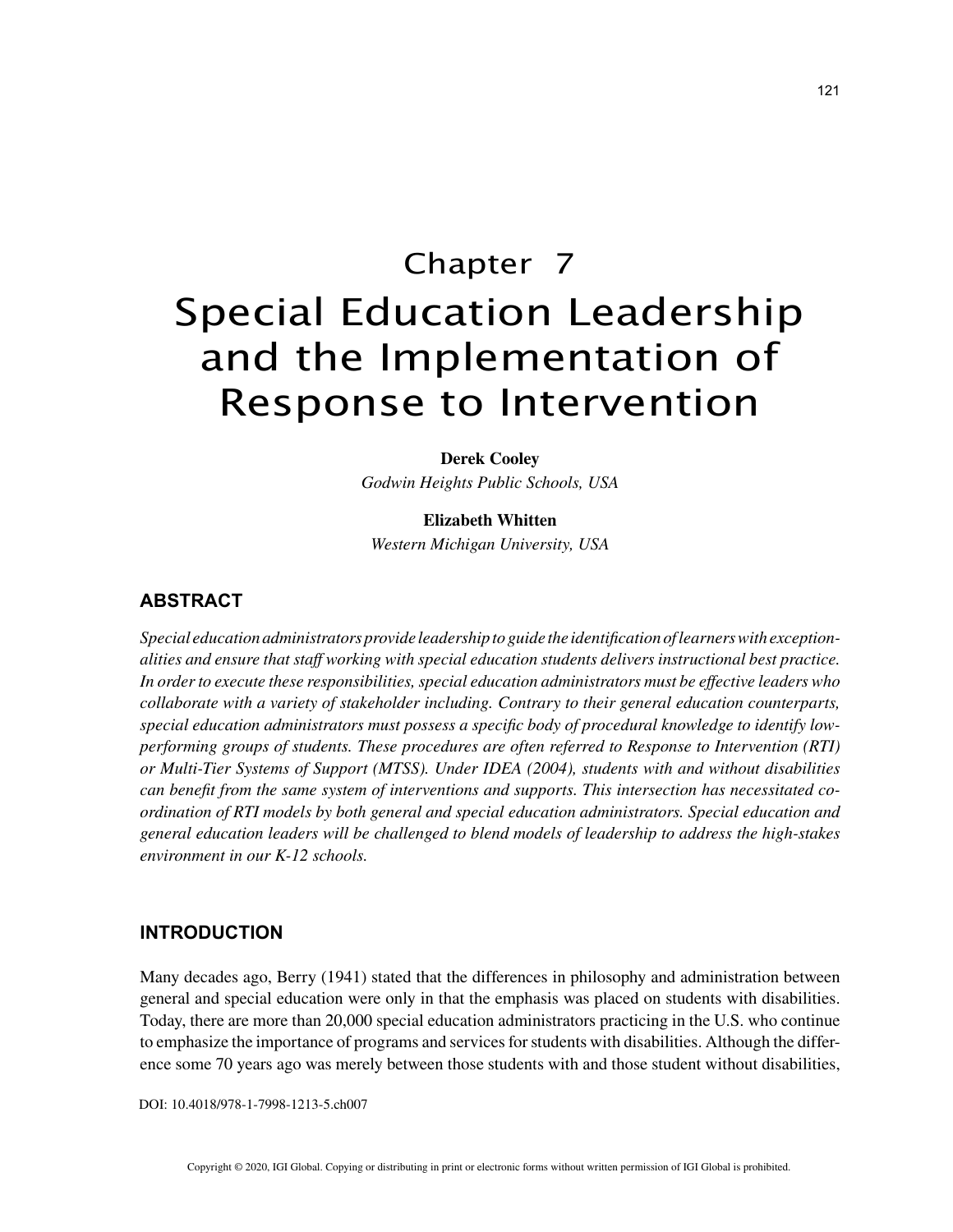# Chapter 7 Special Education Leadership and the Implementation of Response to Intervention

**Derek Cooley**

*Godwin Heights Public Schools, USA*

**Elizabeth Whitten**

*Western Michigan University, USA*

## **ABSTRACT**

*Special education administrators provide leadership to guide the identification of learners with exceptionalities and ensure that staff working with special education students delivers instructional best practice. In order to execute these responsibilities, special education administrators must be effective leaders who collaborate with a variety of stakeholder including. Contrary to their general education counterparts, special education administrators must possess a specific body of procedural knowledge to identify lowperforming groups of students. These procedures are often referred to Response to Intervention (RTI) or Multi-Tier Systems of Support (MTSS). Under IDEA (2004), students with and without disabilities can benefit from the same system of interventions and supports. This intersection has necessitated coordination of RTI models by both general and special education administrators. Special education and general education leaders will be challenged to blend models of leadership to address the high-stakes environment in our K-12 schools.*

#### **INTRODUCTION**

Many decades ago, Berry (1941) stated that the differences in philosophy and administration between general and special education were only in that the emphasis was placed on students with disabilities. Today, there are more than 20,000 special education administrators practicing in the U.S. who continue to emphasize the importance of programs and services for students with disabilities. Although the difference some 70 years ago was merely between those students with and those student without disabilities,

DOI: 10.4018/978-1-7998-1213-5.ch007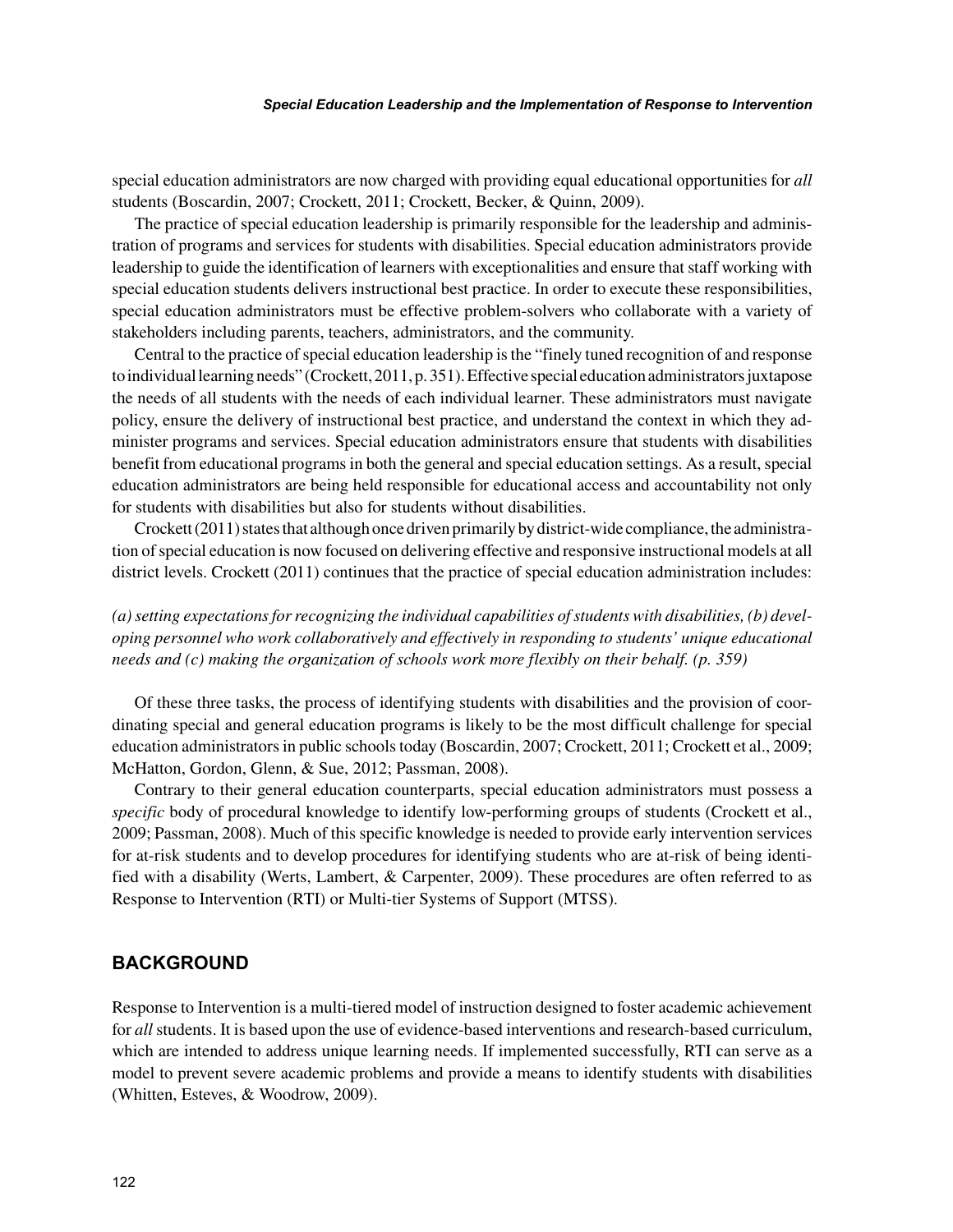#### *Special Education Leadership and the Implementation of Response to Intervention*

special education administrators are now charged with providing equal educational opportunities for *all* students (Boscardin, 2007; Crockett, 2011; Crockett, Becker, & Quinn, 2009).

The practice of special education leadership is primarily responsible for the leadership and administration of programs and services for students with disabilities. Special education administrators provide leadership to guide the identification of learners with exceptionalities and ensure that staff working with special education students delivers instructional best practice. In order to execute these responsibilities, special education administrators must be effective problem-solvers who collaborate with a variety of stakeholders including parents, teachers, administrators, and the community.

Central to the practice of special education leadership is the "finely tuned recognition of and response to individual learning needs" (Crockett, 2011, p. 351). Effective special education administrators juxtapose the needs of all students with the needs of each individual learner. These administrators must navigate policy, ensure the delivery of instructional best practice, and understand the context in which they administer programs and services. Special education administrators ensure that students with disabilities benefit from educational programs in both the general and special education settings. As a result, special education administrators are being held responsible for educational access and accountability not only for students with disabilities but also for students without disabilities.

Crockett (2011) states that although once driven primarily by district-wide compliance, the administration of special education is now focused on delivering effective and responsive instructional models at all district levels. Crockett (2011) continues that the practice of special education administration includes:

*(a) setting expectations for recognizing the individual capabilities of students with disabilities, (b) developing personnel who work collaboratively and effectively in responding to students' unique educational needs and (c) making the organization of schools work more flexibly on their behalf. (p. 359)*

Of these three tasks, the process of identifying students with disabilities and the provision of coordinating special and general education programs is likely to be the most difficult challenge for special education administrators in public schools today (Boscardin, 2007; Crockett, 2011; Crockett et al., 2009; McHatton, Gordon, Glenn, & Sue, 2012; Passman, 2008).

Contrary to their general education counterparts, special education administrators must possess a *specific* body of procedural knowledge to identify low-performing groups of students (Crockett et al., 2009; Passman, 2008). Much of this specific knowledge is needed to provide early intervention services for at-risk students and to develop procedures for identifying students who are at-risk of being identified with a disability (Werts, Lambert, & Carpenter, 2009). These procedures are often referred to as Response to Intervention (RTI) or Multi-tier Systems of Support (MTSS).

### **BACKGROUND**

Response to Intervention is a multi-tiered model of instruction designed to foster academic achievement for *all* students. It is based upon the use of evidence-based interventions and research-based curriculum, which are intended to address unique learning needs. If implemented successfully, RTI can serve as a model to prevent severe academic problems and provide a means to identify students with disabilities (Whitten, Esteves, & Woodrow, 2009).